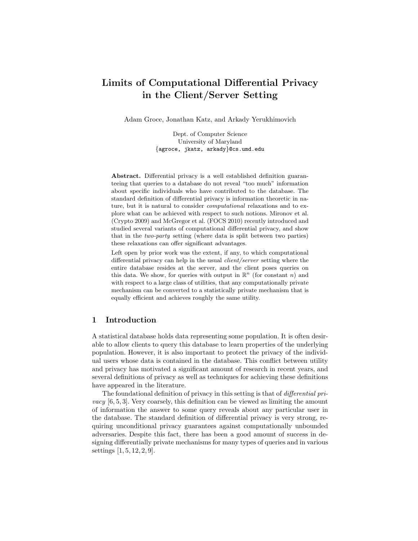# Limits of Computational Differential Privacy in the Client/Server Setting

Adam Groce, Jonathan Katz, and Arkady Yerukhimovich

Dept. of Computer Science University of Maryland {agroce, jkatz, arkady}@cs.umd.edu

Abstract. Differential privacy is a well established definition guaranteeing that queries to a database do not reveal "too much" information about specific individuals who have contributed to the database. The standard definition of differential privacy is information theoretic in nature, but it is natural to consider computational relaxations and to explore what can be achieved with respect to such notions. Mironov et al. (Crypto 2009) and McGregor et al. (FOCS 2010) recently introduced and studied several variants of computational differential privacy, and show that in the two-party setting (where data is split between two parties) these relaxations can offer significant advantages.

Left open by prior work was the extent, if any, to which computational differential privacy can help in the usual client/server setting where the entire database resides at the server, and the client poses queries on this data. We show, for queries with output in  $\mathbb{R}^n$  (for constant n) and with respect to a large class of utilities, that any computationally private mechanism can be converted to a statistically private mechanism that is equally efficient and achieves roughly the same utility.

## 1 Introduction

A statistical database holds data representing some population. It is often desirable to allow clients to query this database to learn properties of the underlying population. However, it is also important to protect the privacy of the individual users whose data is contained in the database. This conflict between utility and privacy has motivated a significant amount of research in recent years, and several definitions of privacy as well as techniques for achieving these definitions have appeared in the literature.

The foundational definition of privacy in this setting is that of differential pri*vacy*  $[6, 5, 3]$ . Very coarsely, this definition can be viewed as limiting the amount of information the answer to some query reveals about any particular user in the database. The standard definition of differential privacy is very strong, requiring unconditional privacy guarantees against computationally unbounded adversaries. Despite this fact, there has been a good amount of success in designing differentially private mechanisms for many types of queries and in various settings [1, 5, 12, 2, 9].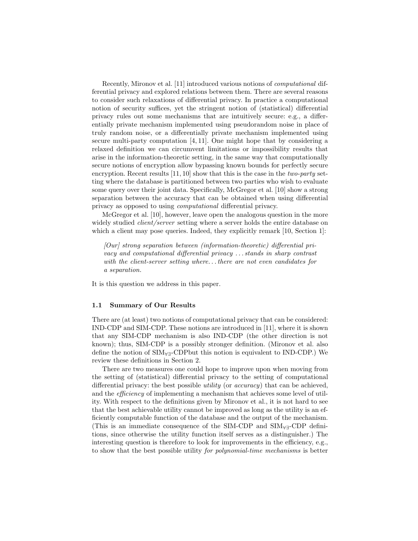Recently, Mironov et al. [11] introduced various notions of computational differential privacy and explored relations between them. There are several reasons to consider such relaxations of differential privacy. In practice a computational notion of security suffices, yet the stringent notion of (statistical) differential privacy rules out some mechanisms that are intuitively secure: e.g., a differentially private mechanism implemented using pseudorandom noise in place of truly random noise, or a differentially private mechanism implemented using secure multi-party computation  $[4, 11]$ . One might hope that by considering a relaxed definition we can circumvent limitations or impossibility results that arise in the information-theoretic setting, in the same way that computationally secure notions of encryption allow bypassing known bounds for perfectly secure encryption. Recent results  $[11, 10]$  show that this is the case in the *two-party* setting where the database is partitioned between two parties who wish to evaluate some query over their joint data. Specifically, McGregor et al. [10] show a strong separation between the accuracy that can be obtained when using differential privacy as opposed to using computational differential privacy.

McGregor et al. [10], however, leave open the analogous question in the more widely studied *client/server* setting where a server holds the entire database on which a client may pose queries. Indeed, they explicitly remark [10, Section 1]:

 $[Our]$  strong separation between (information-theoretic) differential privacy and computational differential privacy . . . stands in sharp contrast with the client-server setting where. . . there are not even candidates for a separation.

It is this question we address in this paper.

#### 1.1 Summary of Our Results

There are (at least) two notions of computational privacy that can be considered: IND-CDP and SIM-CDP. These notions are introduced in [11], where it is shown that any SIM-CDP mechanism is also IND-CDP (the other direction is not known); thus, SIM-CDP is a possibly stronger definition. (Mironov et al. also define the notion of SIM∀∃-CDPbut this notion is equivalent to IND-CDP.) We review these definitions in Section 2.

There are two measures one could hope to improve upon when moving from the setting of (statistical) differential privacy to the setting of computational differential privacy: the best possible *utility* (or *accuracy*) that can be achieved, and the *efficiency* of implementing a mechanism that achieves some level of utility. With respect to the definitions given by Mironov et al., it is not hard to see that the best achievable utility cannot be improved as long as the utility is an efficiently computable function of the database and the output of the mechanism. (This is an immediate consequence of the SIM-CDP and SIM∀∃-CDP definitions, since otherwise the utility function itself serves as a distinguisher.) The interesting question is therefore to look for improvements in the efficiency, e.g., to show that the best possible utility for polynomial-time mechanisms is better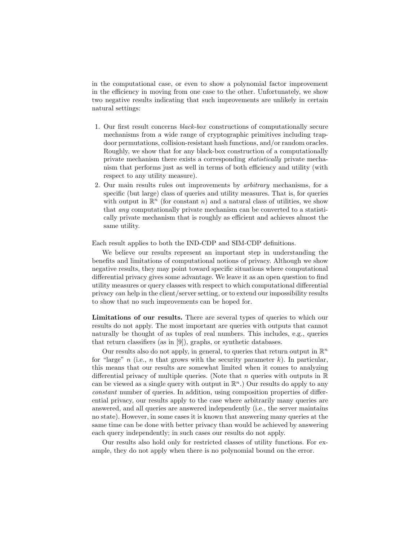in the computational case, or even to show a polynomial factor improvement in the efficiency in moving from one case to the other. Unfortunately, we show two negative results indicating that such improvements are unlikely in certain natural settings:

- 1. Our first result concerns black-box constructions of computationally secure mechanisms from a wide range of cryptographic primitives including trapdoor permutations, collision-resistant hash functions, and/or random oracles. Roughly, we show that for any black-box construction of a computationally private mechanism there exists a corresponding statistically private mechanism that performs just as well in terms of both efficiency and utility (with respect to any utility measure).
- 2. Our main results rules out improvements by arbitrary mechanisms, for a specific (but large) class of queries and utility measures. That is, for queries with output in  $\mathbb{R}^n$  (for constant n) and a natural class of utilities, we show that any computationally private mechanism can be converted to a statistically private mechanism that is roughly as efficient and achieves almost the same utility.

Each result applies to both the IND-CDP and SIM-CDP definitions.

We believe our results represent an important step in understanding the benefits and limitations of computational notions of privacy. Although we show negative results, they may point toward specific situations where computational differential privacy gives some advantage. We leave it as an open question to find utility measures or query classes with respect to which computational differential privacy can help in the client/server setting, or to extend our impossibility results to show that no such improvements can be hoped for.

Limitations of our results. There are several types of queries to which our results do not apply. The most important are queries with outputs that cannot naturally be thought of as tuples of real numbers. This includes, e.g., queries that return classifiers (as in [9]), graphs, or synthetic databases.

Our results also do not apply, in general, to queries that return output in  $\mathbb{R}^n$ for "large"  $n$  (i.e.,  $n$  that grows with the security parameter  $k$ ). In particular, this means that our results are somewhat limited when it comes to analyzing differential privacy of multiple queries. (Note that n queries with outputs in  $\mathbb R$ can be viewed as a single query with output in  $\mathbb{R}^n$ .) Our results do apply to any constant number of queries. In addition, using composition properties of differential privacy, our results apply to the case where arbitrarily many queries are answered, and all queries are answered independently (i.e., the server maintains no state). However, in some cases it is known that answering many queries at the same time can be done with better privacy than would be achieved by answering each query independently; in such cases our results do not apply.

Our results also hold only for restricted classes of utility functions. For example, they do not apply when there is no polynomial bound on the error.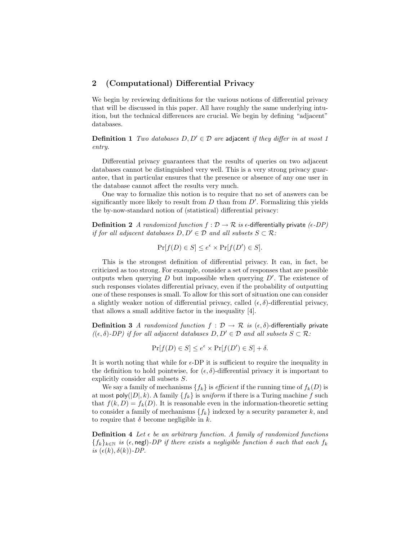# 2 (Computational) Differential Privacy

We begin by reviewing definitions for the various notions of differential privacy that will be discussed in this paper. All have roughly the same underlying intuition, but the technical differences are crucial. We begin by defining "adjacent" databases.

**Definition 1** Two databases  $D, D' \in \mathcal{D}$  are adjacent if they differ in at most 1 entry.

Differential privacy guarantees that the results of queries on two adjacent databases cannot be distinguished very well. This is a very strong privacy guarantee, that in particular ensures that the presence or absence of any one user in the database cannot affect the results very much.

One way to formalize this notion is to require that no set of answers can be significantly more likely to result from  $D$  than from  $D'$ . Formalizing this yields the by-now-standard notion of (statistical) differential privacy:

**Definition 2** A randomized function  $f : \mathcal{D} \to \mathcal{R}$  is  $\epsilon$ -differentially private ( $\epsilon$ -DP) if for all adjacent databases  $D, D' \in \mathcal{D}$  and all subsets  $S \subset \mathcal{R}$ :

 $Pr[f(D) \in S] \leq e^{\epsilon} \times Pr[f(D') \in S].$ 

This is the strongest definition of differential privacy. It can, in fact, be criticized as too strong. For example, consider a set of responses that are possible outputs when querying  $D$  but impossible when querying  $D'$ . The existence of such responses violates differential privacy, even if the probability of outputting one of these responses is small. To allow for this sort of situation one can consider a slightly weaker notion of differential privacy, called  $(\epsilon, \delta)$ -differential privacy, that allows a small additive factor in the inequality [4].

**Definition 3** A randomized function  $f : \mathcal{D} \to \mathcal{R}$  is  $(\epsilon, \delta)$ -differentially private  $((\epsilon, \delta)$ -DP) if for all adjacent databases  $D, D' \in \mathcal{D}$  and all subsets  $S \subset \mathcal{R}$ :

$$
\Pr[f(D) \in S] \le e^{\epsilon} \times \Pr[f(D') \in S] + \delta.
$$

It is worth noting that while for  $\epsilon$ -DP it is sufficient to require the inequality in the definition to hold pointwise, for  $(\epsilon, \delta)$ -differential privacy it is important to explicitly consider all subsets S.

We say a family of mechanisms  $\{f_k\}$  is *efficient* if the running time of  $f_k(D)$  is at most  $\text{poly}(|D|, k)$ . A family  $\{f_k\}$  is uniform if there is a Turing machine f such that  $f(k, D) = f_k(D)$ . It is reasonable even in the information-theoretic setting to consider a family of mechanisms  $\{f_k\}$  indexed by a security parameter k, and to require that  $\delta$  become negligible in  $k$ .

**Definition 4** Let  $\epsilon$  be an arbitrary function. A family of randomized functions  ${f_k}_{k\in\mathbb{N}}$  is  $(\epsilon, \text{negl})$ -DP if there exists a negligible function  $\delta$  such that each  $f_k$ is  $(\epsilon(k), \delta(k))$ -DP.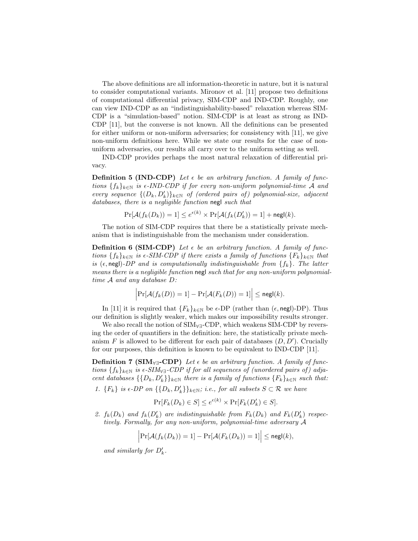The above definitions are all information-theoretic in nature, but it is natural to consider computational variants. Mironov et al. [11] propose two definitions of computational differential privacy, SIM-CDP and IND-CDP. Roughly, one can view IND-CDP as an "indistinguishability-based" relaxation whereas SIM-CDP is a "simulation-based" notion. SIM-CDP is at least as strong as IND-CDP [11], but the converse is not known. All the definitions can be presented for either uniform or non-uniform adversaries; for consistency with [11], we give non-uniform definitions here. While we state our results for the case of nonuniform adversaries, our results all carry over to the uniform setting as well.

IND-CDP provides perhaps the most natural relaxation of differential privacy.

**Definition 5 (IND-CDP)** Let  $\epsilon$  be an arbitrary function. A family of functions  $\{f_k\}_{k\in\mathbb{N}}$  is  $\epsilon$ -IND-CDP if for every non-uniform polynomial-time A and every sequence  $\{(D_k, D'_k)\}_{k \in \mathbb{N}}$  of (ordered pairs of) polynomial-size, adjacent databases, there is a negligible function negl such that

$$
\Pr[\mathcal{A}(f_k(D_k)) = 1] \le e^{\epsilon(k)} \times \Pr[\mathcal{A}(f_k(D'_k)) = 1] + \mathsf{negl}(k).
$$

The notion of SIM-CDP requires that there be a statistically private mechanism that is indistinguishable from the mechanism under consideration.

**Definition 6 (SIM-CDP)** Let  $\epsilon$  be an arbitrary function. A family of functions  $\{f_k\}_{k\in\mathbb{N}}$  is  $\epsilon$ -SIM-CDP if there exists a family of functions  $\{F_k\}_{k\in\mathbb{N}}$  that is  $(\epsilon, \text{neg})$ -DP and is computationally indistinguishable from  $\{f_k\}$ . The latter means there is a negligible function negl such that for any non-uniform polynomialtime A and any database D:

$$
\left|\Pr[\mathcal{A}(f_k(D))=1]-\Pr[\mathcal{A}(F_k(D))=1]\right|\leq \mathsf{negl}(k).
$$

In [11] it is required that  ${F_k}_{k\in\mathbb{N}}$  be  $\epsilon$ -DP (rather than  $(\epsilon$ , negl)-DP). Thus our definition is slightly weaker, which makes our impossibility results stronger.

We also recall the notion of  $SIM_{\forall}$ –CDP, which weakens SIM-CDP by reversing the order of quantifiers in the definition: here, the statistically private mechanism  $F$  is allowed to be different for each pair of databases  $(D, D')$ . Crucially for our purposes, this definition is known to be equivalent to IND-CDP [11].

Definition 7 (SIM $_{\forall}$ =CDP) Let  $\epsilon$  be an arbitrary function. A family of functions  $\{f_k\}_{k\in\mathbb{N}}$  is  $\epsilon$ -SIM<sub>∀∃</sub>-CDP if for all sequences of (unordered pairs of) adjacent databases  $\{\{D_k, D'_k\}\}_{k\in\mathbb{N}}$  there is a family of functions  $\{F_k\}_{k\in\mathbb{N}}$  such that:

1.  ${F_k}$  is  $\epsilon$ -DP on  ${D_k, D'_k}$ ,  ${E_N}$ ; i.e., for all subsets  $S \subset \mathcal{R}$  we have

$$
\Pr[F_k(D_k) \in S] \le e^{\epsilon(k)} \times \Pr[F_k(D'_k) \in S].
$$

2.  $f_k(D_k)$  and  $f_k(D'_k)$  are indistinguishable from  $F_k(D_k)$  and  $F_k(D'_k)$  respectively. Formally, for any non-uniform, polynomial-time adversary A

$$
\left|\Pr[\mathcal{A}(f_k(D_k))=1]-\Pr[\mathcal{A}(F_k(D_k))=1]\right|\leq \mathsf{negl}(k),
$$

and similarly for  $D'_k$ .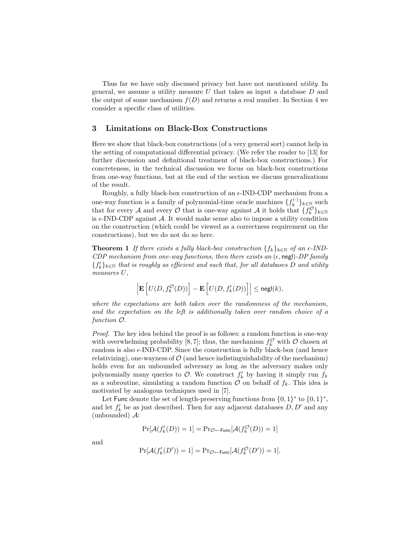Thus far we have only discussed privacy but have not mentioned *utility*. In general, we assume a utility measure  $U$  that takes as input a database  $D$  and the output of some mechanism  $f(D)$  and returns a real number. In Section 4 we consider a specific class of utilities.

# 3 Limitations on Black-Box Constructions

Here we show that black-box constructions (of a very general sort) cannot help in the setting of computational differential privacy. (We refer the reader to [13] for further discussion and definitional treatment of black-box constructions.) For concreteness, in the technical discussion we focus on black-box constructions from one-way functions, but at the end of the section we discuss generalizations of the result.

Roughly, a fully black-box construction of an  $\epsilon$ -IND-CDP mechanism from a one-way function is a family of polynomial-time oracle machines  $\{f_k^{(\cdot)}\}$  $\{k^{(1)}\}_{k\in\mathbb{N}}$  such that for every A and every O that is one-way against A it holds that  $\{f_k^{\mathcal{O}}\}_{k\in\mathbb{N}}$ is  $\epsilon$ -IND-CDP against A. It would make sense also to impose a utility condition on the construction (which could be viewed as a correctness requirement on the constructions), but we do not do so here.

**Theorem 1** If there exists a fully black-box construction  $\{f_k\}_{k\in\mathbb{N}}$  of an  $\epsilon$ -IND-CDP mechanism from one-way functions, then there exists an  $(\epsilon, \text{negl})$ -DP family  ${f'_k}_{k\in\mathbb{N}}$  that is roughly as efficient and such that, for all databases D and utility measures U,

$$
\left| \mathbf{E} \left[U(D,f_k^{\mathcal O}(D))\right] - \mathbf{E} \left[U(D,f_k'(D))\right] \right| \leq {\mathsf{negl}}(k),
$$

where the expectations are both taken over the randomness of the mechanism, and the expectation on the left is additionally taken over random choice of a function O.

Proof. The key idea behind the proof is as follows: a random function is one-way with overwhelming probability [8,7]; thus, the mechanism  $f_k^{\mathcal{O}}$  with  $\mathcal{O}$  chosen at random is also  $\epsilon$ -IND-CDP. Since the construction is fully black-box (and hence relativizing), one-wayness of  $\mathcal{O}$  (and hence indistinguishability of the mechanism) holds even for an unbounded adversary as long as the adversary makes only polynomially many queries to  $\mathcal{O}$ . We construct  $f'_k$  by having it simply run  $f_k$ as a subroutine, simulating a random function  $\mathcal O$  on behalf of  $f_k$ . This idea is motivated by analogous techniques used in [7].

Let Func denote the set of length-preserving functions from  $\{0,1\}^*$  to  $\{0,1\}^*$ , and let  $f'_k$  be as just described. Then for any adjacent databases  $D, D'$  and any (unbounded) A:

$$
\Pr[\mathcal{A}(f_k'(D)) = 1] = \Pr_{\mathcal{O} \leftarrow \mathsf{Func}}[\mathcal{A}(f_k^{\mathcal{O}}(D)) = 1]
$$

and

$$
Pr[\mathcal{A}(f'_k(D')) = 1] = Pr_{\mathcal{O}\leftarrow \text{Func}}[\mathcal{A}(f_k^{\mathcal{O}}(D')) = 1].
$$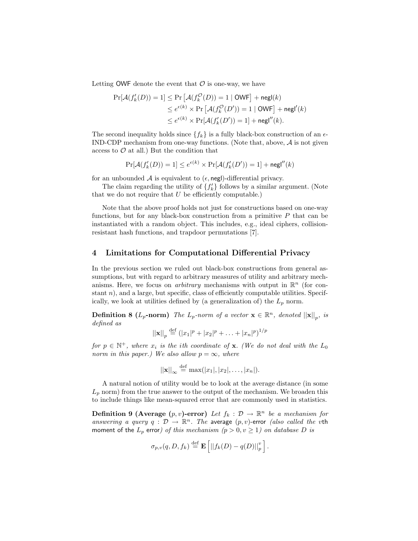Letting OWF denote the event that  $\mathcal O$  is one-way, we have

$$
\begin{aligned} \Pr[\mathcal{A}(f_k'(D))=1] &\leq \Pr\left[\mathcal{A}(f_k^{\mathcal{O}}(D))=1 \mid \mathsf{OWF}\right]+\mathsf{negl}(k) \\ &\leq e^{\epsilon(k)}\times\Pr\left[\mathcal{A}(f_k^{\mathcal{O}}(D'))=1 \mid \mathsf{OWF}\right]+\mathsf{negl}'(k) \\ &\leq e^{\epsilon(k)}\times\Pr[\mathcal{A}(f_k'(D'))=1]+\mathsf{negl}''(k). \end{aligned}
$$

The second inequality holds since  $\{f_k\}$  is a fully black-box construction of an  $\epsilon$ -IND-CDP mechanism from one-way functions. (Note that, above,  $A$  is not given access to  $\mathcal O$  at all.) But the condition that

$$
\Pr[\mathcal{A}(f'_k(D)) = 1] \leq e^{\epsilon(k)} \times \Pr[\mathcal{A}(f'_k(D')) = 1] + \mathsf{negl}''(k)
$$

for an unbounded A is equivalent to  $(\epsilon, \text{neg})$ -differential privacy.

The claim regarding the utility of  $\{f'_k\}$  follows by a similar argument. (Note that we do not require that  $U$  be efficiently computable.)

Note that the above proof holds not just for constructions based on one-way functions, but for any black-box construction from a primitive  $P$  that can be instantiated with a random object. This includes, e.g., ideal ciphers, collisionresistant hash functions, and trapdoor permutations [7].

#### 4 Limitations for Computational Differential Privacy

In the previous section we ruled out black-box constructions from general assumptions, but with regard to arbitrary measures of utility and arbitrary mechanisms. Here, we focus on *arbitrary* mechanisms with output in  $\mathbb{R}^n$  (for constant  $n$ ), and a large, but specific, class of efficiently computable utilities. Specifically, we look at utilities defined by (a generalization of) the  $L_p$  norm.

**Definition 8** ( $L_p$ -norm) The  $L_p$ -norm of a vector  $\mathbf{x} \in \mathbb{R}^n$ , denoted  $||\mathbf{x}||_p$ , is defined as

$$
||\mathbf{x}||_p \stackrel{\text{def}}{=} (|x_1|^p + |x_2|^p + \ldots + |x_n|^p)^{1/p}
$$

for  $p \in \mathbb{N}^+$ , where  $x_i$  is the ith coordinate of **x**. (We do not deal with the  $L_0$ norm in this paper.) We also allow  $p = \infty$ , where

$$
||\mathbf{x}||_{\infty} \stackrel{\text{def}}{=} \max(|x_1|, |x_2|, \ldots, |x_n|).
$$

A natural notion of utility would be to look at the average distance (in some  $L_p$  norm) from the true answer to the output of the mechanism. We broaden this to include things like mean-squared error that are commonly used in statistics.

**Definition 9 (Average**  $(p, v)$ -error) Let  $f_k : \mathcal{D} \to \mathbb{R}^n$  be a mechanism for answering a query  $q : \mathcal{D} \to \mathbb{R}^n$ . The average  $(p, v)$ -error (also called the vth moment of the  $L_p$  error) of this mechanism  $(p > 0, v \ge 1)$  on database D is

$$
\sigma_{p,\nu}(q,D,f_k) \stackrel{\text{def}}{=} \mathbf{E}\left[||f_k(D) - q(D)||_p^{\nu}\right].
$$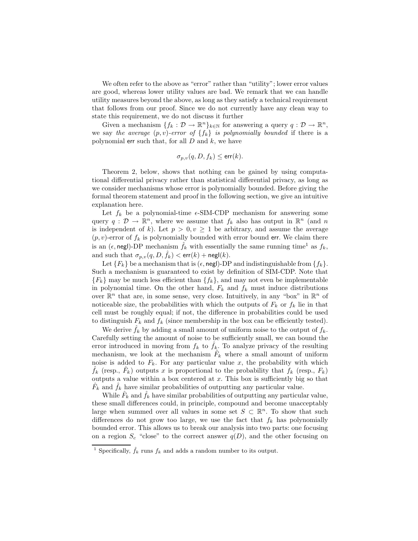We often refer to the above as "error" rather than "utility"; lower error values are good, whereas lower utility values are bad. We remark that we can handle utility measures beyond the above, as long as they satisfy a technical requirement that follows from our proof. Since we do not currently have any clean way to state this requirement, we do not discuss it further

Given a mechanism  $\{f_k : \mathcal{D} \to \mathbb{R}^n\}_{k \in \mathbb{N}}$  for answering a query  $q : \mathcal{D} \to \mathbb{R}^n$ , we say the average  $(p, v)$ -error of  $\{f_k\}$  is polynomially bounded if there is a polynomial err such that, for all  $D$  and  $k$ , we have

$$
\sigma_{p,v}(q,D,f_k) \le \text{err}(k).
$$

Theorem 2, below, shows that nothing can be gained by using computational differential privacy rather than statistical differential privacy, as long as we consider mechanisms whose error is polynomially bounded. Before giving the formal theorem statement and proof in the following section, we give an intuitive explanation here.

Let  $f_k$  be a polynomial-time  $\epsilon$ -SIM-CDP mechanism for answering some query  $q: \mathcal{D} \to \mathbb{R}^n$ , where we assume that  $f_k$  also has output in  $\mathbb{R}^n$  (and n is independent of k). Let  $p > 0, v \ge 1$  be arbitrary, and assume the average  $(p, v)$ -error of  $f_k$  is polynomially bounded with error bound err. We claim there is an ( $\epsilon$ , negl)-DP mechanism  $\hat{f}_k$  with essentially the same running time<sup>1</sup> as  $f_k$ , and such that  $\sigma_{p,\nu}(q, D, \hat{f}_k) < \text{err}(k) + \text{negl}(k)$ .

Let  ${F_k}$  be a mechanism that is  $(\epsilon, \text{negl})$ -DP and indistinguishable from  ${f_k}$ . Such a mechanism is guaranteed to exist by definition of SIM-CDP. Note that  ${F_k}$  may be much less efficient than  ${f_k}$ , and may not even be implementable in polynomial time. On the other hand,  $F_k$  and  $f_k$  must induce distributions over  $\mathbb{R}^n$  that are, in some sense, very close. Intuitively, in any "box" in  $\mathbb{R}^n$  of noticeable size, the probabilities with which the outputs of  $F_k$  or  $f_k$  lie in that cell must be roughly equal; if not, the difference in probabilities could be used to distinguish  $F_k$  and  $f_k$  (since membership in the box can be efficiently tested).

We derive  $f_k$  by adding a small amount of uniform noise to the output of  $f_k$ . Carefully setting the amount of noise to be sufficiently small, we can bound the error introduced in moving from  $f_k$  to  $\hat{f}_k$ . To analyze privacy of the resulting mechanism, we look at the mechanism  $\hat{F}_k$  where a small amount of uniform noise is added to  $F_k$ . For any particular value x, the probability with which  $\hat{f}_k$  (resp.,  $\hat{F}_k$ ) outputs x is proportional to the probability that  $f_k$  (resp.,  $F_k$ ) outputs a value within a box centered at  $x$ . This box is sufficiently big so that  $\hat{F}_k$  and  $\hat{f}_k$  have similar probabilities of outputting any particular value.

While  $\hat{F}_k$  and  $\hat{f}_k$  have similar probabilities of outputting any particular value, these small differences could, in principle, compound and become unacceptably large when summed over all values in some set  $S \subset \mathbb{R}^n$ . To show that such differences do not grow too large, we use the fact that  $f_k$  has polynomially bounded error. This allows us to break our analysis into two parts: one focusing on a region  $S_c$  "close" to the correct answer  $q(D)$ , and the other focusing on

<sup>&</sup>lt;sup>1</sup> Specifically,  $\hat{f}_k$  runs  $f_k$  and adds a random number to its output.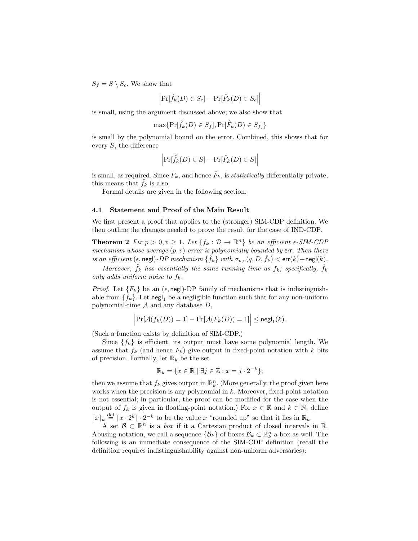$S_f = S \setminus S_c$ . We show that

$$
\left|\Pr[\hat{f}_k(D) \in S_c] - \Pr[\hat{F}_k(D) \in S_c]\right|
$$

is small, using the argument discussed above; we also show that

$$
\max\{\Pr[\hat{f}_k(D) \in S_f], \Pr[\hat{F}_k(D) \in S_f]\}\
$$

is small by the polynomial bound on the error. Combined, this shows that for every S, the difference

$$
\left|\Pr[\hat{f}_k(D) \in S] - \Pr[\hat{F}_k(D) \in S]\right|
$$

is small, as required. Since  $F_k$ , and hence  $\hat{F}_k$ , is *statistically* differentially private, this means that  $f_k$  is also.

Formal details are given in the following section.

## 4.1 Statement and Proof of the Main Result

We first present a proof that applies to the (stronger) SIM-CDP definition. We then outline the changes needed to prove the result for the case of IND-CDP.

**Theorem 2** Fix  $p > 0, v \ge 1$ . Let  $\{f_k : \mathcal{D} \to \mathbb{R}^n\}$  be an efficient  $\epsilon$ -SIM-CDP mechanism whose average  $(p, v)$ -error is polynomially bounded by err. Then there is an efficient  $(\epsilon, \text{negl})$ -DP mechanism  $\{\hat{f}_k\}$  with  $\sigma_{p,v}(q, D, \hat{f}_k) < \text{err}(k) + \text{negl}(k)$ .

Moreover,  $\hat{f}_k$  has essentially the same running time as  $f_k$ ; specifically,  $\hat{f}_k$ only adds uniform noise to  $f_k$ .

*Proof.* Let  ${F_k}$  be an  $(\epsilon, \text{negl})$ -DP family of mechanisms that is indistinguishable from  ${f_k}$ . Let negl<sub>1</sub> be a negligible function such that for any non-uniform polynomial-time  $A$  and any database  $D$ ,

$$
\left|\Pr[\mathcal{A}(f_k(D))=1]-\Pr[\mathcal{A}(F_k(D))=1]\right|\leq \mathsf{negl}_1(k).
$$

(Such a function exists by definition of SIM-CDP.)

Since  $\{f_k\}$  is efficient, its output must have some polynomial length. We assume that  $f_k$  (and hence  $F_k$ ) give output in fixed-point notation with k bits of precision. Formally, let  $\mathbb{R}_k$  be the set

$$
\mathbb{R}_k = \{ x \in \mathbb{R} \mid \exists j \in \mathbb{Z} : x = j \cdot 2^{-k} \};
$$

then we assume that  $f_k$  gives output in  $\mathbb{R}^n_k$ . (More generally, the proof given here works when the precision is any polynomial in  $k$ . Moreover, fixed-point notation is not essential; in particular, the proof can be modified for the case when the output of  $f_k$  is given in floating-point notation.) For  $x \in \mathbb{R}$  and  $k \in \mathbb{N}$ , define  $\lceil x \rceil_k \stackrel{\text{def}}{=} \lceil x \cdot 2^k \rceil \cdot 2^{-k}$  to be the value x "rounded up" so that it lies in  $\mathbb{R}_k$ .

A set  $\mathcal{B} \subset \mathbb{R}^n$  is a *box* if it a Cartesian product of closed intervals in  $\mathbb{R}$ . Abusing notation, we call a sequence  $\{\mathcal{B}_k\}$  of boxes  $\mathcal{B}_k \subset \mathbb{R}_k^n$  a box as well. The following is an immediate consequence of the SIM-CDP definition (recall the definition requires indistinguishability against non-uniform adversaries):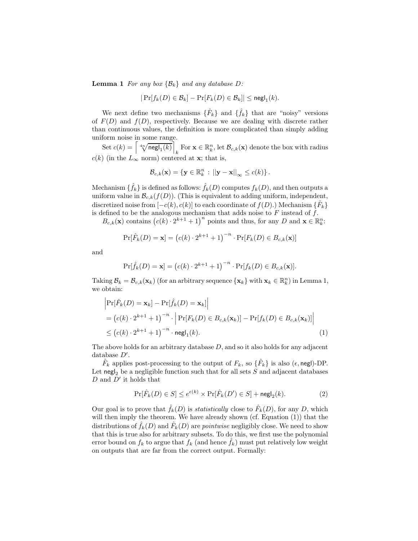**Lemma 1** For any box  $\{\mathcal{B}_k\}$  and any database D:

$$
|\Pr[f_k(D) \in \mathcal{B}_k] - \Pr[F_k(D) \in \mathcal{B}_k]| \leq \mathsf{negl}_1(k).
$$

We next define two mechanisms  $\{\hat{F}_k\}$  and  $\{\hat{f}_k\}$  that are "noisy" versions of  $F(D)$  and  $f(D)$ , respectively. Because we are dealing with discrete rather than continuous values, the definition is more complicated than simply adding uniform noise in some range.

Set  $c(k) = \left\lceil \sqrt[4n]{\mathsf{negl}_1(k)} \right\rceil$ For  $\mathbf{x} \in \mathbb{R}_k^n$ , let  $\mathcal{B}_{c,k}(\mathbf{x})$  denote the box with radius  $c(k)$  (in the  $L_{\infty}$  norm) centered at **x**; that is,

$$
\mathcal{B}_{c,k}(\mathbf{x}) = \left\{ \mathbf{y} \in \mathbb{R}_k^n : ||\mathbf{y} - \mathbf{x}||_{\infty} \leq c(k) \right\}.
$$

Mechanism  $\{\hat{f}_k\}$  is defined as follows:  $\hat{f}_k(D)$  computes  $f_k(D)$ , and then outputs a uniform value in  $\mathcal{B}_{c,k}(f(D))$ . (This is equivalent to adding uniform, independent, discretized noise from  $[-c(k), c(k)]$  to each coordinate of  $f(D)$ .) Mechanism  $\{\hat{F}_k\}$ is defined to be the analogous mechanism that adds noise to  $F$  instead of  $f$ .

 $B_{c,k}(\mathbf{x})$  contains  $(c(k) \cdot 2^{k+1} + 1)^n$  points and thus, for any D and  $\mathbf{x} \in \mathbb{R}_k^n$ :

$$
Pr[\hat{F}_k(D) = \mathbf{x}] = (c(k) \cdot 2^{k+1} + 1)^{-n} \cdot Pr[F_k(D) \in B_{c,k}(\mathbf{x})]
$$

and

$$
\Pr[\hat{f}_k(D) = \mathbf{x}] = (c(k) \cdot 2^{k+1} + 1)^{-n} \cdot \Pr[f_k(D) \in B_{c,k}(\mathbf{x})].
$$

Taking  $\mathcal{B}_k = \mathcal{B}_{c,k}(\mathbf{x}_k)$  (for an arbitrary sequence  $\{\mathbf{x}_k\}$  with  $\mathbf{x}_k \in \mathbb{R}_k^n$ ) in Lemma 1, we obtain:

$$
\begin{aligned} &\left| \Pr[\hat{F}_k(D) = \mathbf{x}_k] - \Pr[\hat{f}_k(D) = \mathbf{x}_k] \right| \\ &= \left( c(k) \cdot 2^{k+1} + 1 \right)^{-n} \cdot \left| \Pr[F_k(D) \in B_{c,k}(\mathbf{x}_k)] - \Pr[f_k(D) \in B_{c,k}(\mathbf{x}_k)] \right| \\ &\le \left( c(k) \cdot 2^{k+1} + 1 \right)^{-n} \cdot \operatorname{negl}_1(k). \end{aligned} \tag{1}
$$

The above holds for an arbitrary database  $D$ , and so it also holds for any adjacent database  $D'$ .

 $\hat{F}_k$  applies post-processing to the output of  $F_k$ , so  $\{\hat{F}_k\}$  is also  $(\epsilon, \text{negl})$ -DP. Let negl<sub>2</sub> be a negligible function such that for all sets  $S$  and adjacent databases  $D$  and  $D'$  it holds that

$$
\Pr[\hat{F}_k(D) \in S] \le e^{\epsilon(k)} \times \Pr[\hat{F}_k(D') \in S] + \mathsf{negl}_2(k). \tag{2}
$$

Our goal is to prove that  $\hat{f}_k(D)$  is *statistically* close to  $\hat{F}_k(D)$ , for any D, which will then imply the theorem. We have already shown (cf. Equation  $(1)$ ) that the distributions of  $\hat{f}_k(D)$  and  $\hat{F}_k(D)$  are *pointwise* negligibly close. We need to show that this is true also for arbitrary subsets. To do this, we first use the polynomial error bound on  $f_k$  to argue that  $f_k$  (and hence  $\tilde{f}_k$ ) must put relatively low weight on outputs that are far from the correct output. Formally: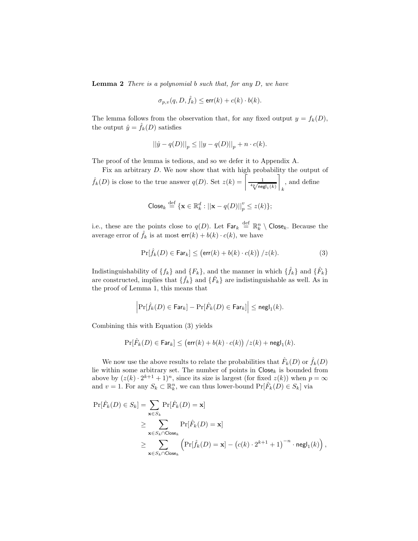**Lemma 2** There is a polynomial  $b$  such that, for any  $D$ , we have

$$
\sigma_{p,v}(q, D, \hat{f}_k) \le \text{err}(k) + c(k) \cdot b(k).
$$

The lemma follows from the observation that, for any fixed output  $y = f_k(D)$ , the output  $\hat{y} = \hat{f}_k(D)$  satisfies

$$
||\hat{y} - q(D)||_{p} \le ||y - q(D)||_{p} + n \cdot c(k).
$$

The proof of the lemma is tedious, and so we defer it to Appendix A.

Fix an arbitrary D. We now show that with high probability the output of  $\hat{f}_k(D)$  is close to the true answer  $q(D)$ . Set  $z(k) = \begin{bmatrix} \frac{1}{4\sqrt[n]{\text{negl}_1(k)}} \end{bmatrix}$ 1 k , and define

$$
\mathsf{Close}_{k} \stackrel{\text{def}}{=} \{\mathbf{x} \in \mathbb{R}_{k}^{d} : ||\mathbf{x} - q(D)||_{p}^{v} \leq z(k)\};
$$

i.e., these are the points close to  $q(D)$ . Let  $\text{Far}_k \stackrel{\text{def}}{=} \mathbb{R}_k^n \setminus \text{Close}_k$ . Because the average error of  $\hat{f}_k$  is at most  $err(k) + b(k) \cdot c(k)$ , we have

$$
\Pr[\hat{f}_k(D) \in \mathsf{Far}_k] \le \left(\mathsf{err}(k) + b(k) \cdot c(k)\right) / z(k). \tag{3}
$$

Indistinguishability of  $\{f_k\}$  and  $\{F_k\}$ , and the manner in which  $\{\hat{f}_k\}$  and  $\{\hat{F}_k\}$ are constructed, implies that  $\{\hat{f}_k\}$  and  $\{\hat{F}_k\}$  are indistinguishable as well. As in the proof of Lemma 1, this means that

$$
\left|\Pr[\hat{f}_k(D) \in \mathsf{Far}_k] - \Pr[\hat{F}_k(D) \in \mathsf{Far}_k]\right| \leq \mathsf{negl}_1(k).
$$

Combining this with Equation (3) yields

$$
\Pr[\hat{F}_k(D) \in \mathsf{Far}_k] \leq \big(\mathsf{err}(k) + b(k) \cdot c(k)\big) \, / z(k) + \mathsf{negl}_1(k).
$$

We now use the above results to relate the probabilities that  $\hat{F}_k(D)$  or  $\hat{f}_k(D)$ lie within some arbitrary set. The number of points in  $Cose_k$  is bounded from above by  $(z(k) \cdot 2^{k+1} + 1)^n$ , since its size is largest (for fixed  $z(k)$ ) when  $p = \infty$ and  $v = 1$ . For any  $S_k \subset \mathbb{R}_k^n$ , we can thus lower-bound  $\Pr[\hat{F}_k(D) \in S_k]$  via

$$
\Pr[\hat{F}_k(D) \in S_k] = \sum_{\mathbf{x} \in S_k} \Pr[\hat{F}_k(D) = \mathbf{x}]
$$
  
\n
$$
\geq \sum_{\mathbf{x} \in S_k \cap \text{Close}_k} \Pr[\hat{F}_k(D) = \mathbf{x}]
$$
  
\n
$$
\geq \sum_{\mathbf{x} \in S_k \cap \text{Close}_k} \left( \Pr[\hat{f}_k(D) = \mathbf{x}] - (c(k) \cdot 2^{k+1} + 1)^{-n} \cdot \text{negl}_1(k) \right),
$$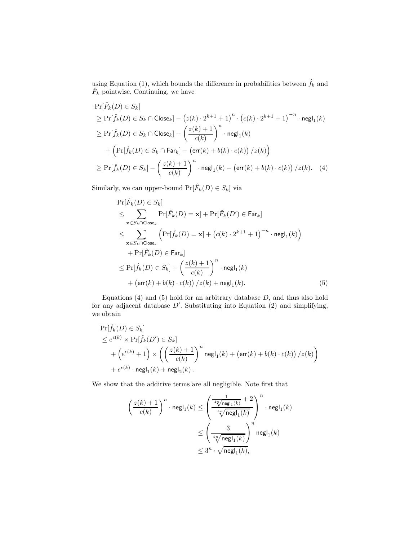using Equation (1), which bounds the difference in probabilities between  $\hat{f}_k$  and  $\hat{F}_k$  pointwise. Continuing, we have

$$
\Pr[\hat{F}_k(D) \in S_k]
$$
\n
$$
\geq \Pr[\hat{f}_k(D) \in S_k \cap \text{Close}_k] - (z(k) \cdot 2^{k+1} + 1)^n \cdot (c(k) \cdot 2^{k+1} + 1)^{-n} \cdot \text{negl}_1(k)
$$
\n
$$
\geq \Pr[\hat{f}_k(D) \in S_k \cap \text{Close}_k] - \left(\frac{z(k) + 1}{c(k)}\right)^n \cdot \text{negl}_1(k)
$$
\n
$$
+ \left(\Pr[\hat{f}_k(D) \in S_k \cap \text{Far}_k] - (\text{err}(k) + b(k) \cdot c(k)) / z(k)\right)
$$
\n
$$
\geq \Pr[\hat{f}_k(D) \in S_k] - \left(\frac{z(k) + 1}{c(k)}\right)^n \cdot \text{negl}_1(k) - (\text{err}(k) + b(k) \cdot c(k)) / z(k). \quad (4)
$$

Similarly, we can upper-bound  $Pr[\hat{F}_k(D) \in S_k]$  via

$$
\Pr[\hat{F}_k(D) \in S_k]
$$
\n
$$
\leq \sum_{\mathbf{x} \in S_k \cap \text{Close}_k} \Pr[\hat{F}_k(D) = \mathbf{x}] + \Pr[\hat{F}_k(D') \in \text{Far}_k]
$$
\n
$$
\leq \sum_{\mathbf{x} \in S_k \cap \text{Close}_k} \left( \Pr[\hat{f}_k(D) = \mathbf{x}] + (c(k) \cdot 2^{k+1} + 1)^{-n} \cdot \text{negl}_1(k) \right)
$$
\n
$$
+ \Pr[\hat{F}_k(D) \in \text{Far}_k]
$$
\n
$$
\leq \Pr[\hat{f}_k(D) \in S_k] + \left( \frac{z(k) + 1}{c(k)} \right)^n \cdot \text{negl}_1(k)
$$
\n
$$
+ \left( \text{err}(k) + b(k) \cdot c(k) \right) / z(k) + \text{negl}_1(k). \tag{5}
$$

Equations  $(4)$  and  $(5)$  hold for an arbitrary database  $D$ , and thus also hold for any adjacent database  $D'$ . Substituting into Equation  $(2)$  and simplifying, we obtain

$$
\begin{aligned} &\Pr[\hat{f}_k(D) \in S_k]\\ &\leq e^{\epsilon(k)} \times \Pr[\hat{f}_k(D') \in S_k]\\ &\quad + \Big(e^{\epsilon(k)} + 1\Big) \times \left(\left(\frac{z(k) + 1}{c(k)}\right)^n \operatorname{negl}_1(k) + \big(\operatorname{err}(k) + b(k) \cdot c(k)\big) / z(k)\right) \\ &\quad + e^{\epsilon(k)} \cdot \operatorname{negl}_1(k) + \operatorname{negl}_2(k)\,. \end{aligned}
$$

We show that the additive terms are all negligible. Note first that

$$
\begin{aligned} \left(\frac{z(k)+1}{c(k)}\right)^n \cdot \operatorname{negl}_1(k) & \leq \left(\frac{\frac{1}{4\eta\cdot \operatorname{negl}_1(k)}+2}{\frac{4\eta\cdot \operatorname{negl}_1(k)}{\eta\cdot \operatorname{negl}_1(k)}}\right)^n \cdot \operatorname{negl}_1(k) \\ & \leq \left(\frac{3}{\frac{2\eta\cdot \operatorname{negl}_1(k)}{\eta\cdot \operatorname{negl}_1(k)}}\right)^n \operatorname{negl}_1(k) \\ & \leq 3^n \cdot \sqrt{\operatorname{negl}_1(k)}, \end{aligned}
$$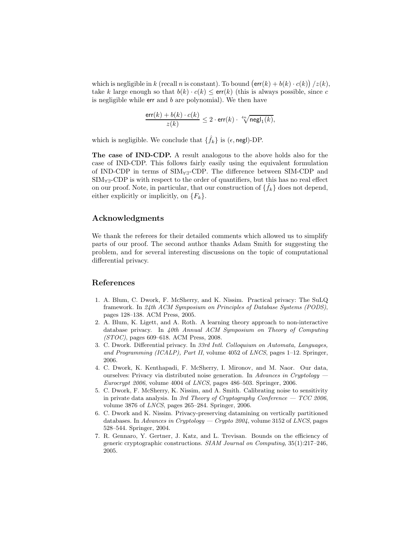which is negligible in k (recall n is constant). To bound  $\left(\text{err}(k) + b(k) \cdot c(k)\right) / z(k)$ , take k large enough so that  $b(k) \cdot c(k) \leq \text{err}(k)$  (this is always possible, since c is negligible while  $err$  and  $b$  are polynomial). We then have

$$
\frac{\textsf{err}(k) + b(k) \cdot c(k)}{z(k)} \leq 2 \cdot \textsf{err}(k) \cdot \sqrt[4n]{\textsf{negl}_1(k)},
$$

which is negligible. We conclude that  $\{\hat{f}_k\}$  is  $(\epsilon, \text{negl})$ -DP.

The case of IND-CDP. A result analogous to the above holds also for the case of IND-CDP. This follows fairly easily using the equivalent formulation of IND-CDP in terms of SIM∀∃-CDP. The difference between SIM-CDP and SIM∀∃-CDP is with respect to the order of quantifiers, but this has no real effect on our proof. Note, in particular, that our construction of  $\{\hat{f}_k\}$  does not depend, either explicitly or implicitly, on  ${F_k}$ .

# Acknowledgments

We thank the referees for their detailed comments which allowed us to simplify parts of our proof. The second author thanks Adam Smith for suggesting the problem, and for several interesting discussions on the topic of computational differential privacy.

## References

- 1. A. Blum, C. Dwork, F. McSherry, and K. Nissim. Practical privacy: The SuLQ framework. In 24th ACM Symposium on Principles of Database Systems (PODS), pages 128–138. ACM Press, 2005.
- 2. A. Blum, K. Ligett, and A. Roth. A learning theory approach to non-interactive database privacy. In 40th Annual ACM Symposium on Theory of Computing (STOC), pages 609–618. ACM Press, 2008.
- 3. C. Dwork. Differential privacy. In 33rd Intl. Colloquium on Automata, Languages, and Programming (ICALP), Part II, volume 4052 of LNCS, pages 1–12. Springer, 2006.
- 4. C. Dwork, K. Kenthapadi, F. McSherry, I. Mironov, and M. Naor. Our data, ourselves: Privacy via distributed noise generation. In Advances in Cryptology — Eurocrypt 2006, volume 4004 of LNCS, pages 486–503. Springer, 2006.
- 5. C. Dwork, F. McSherry, K. Nissim, and A. Smith. Calibrating noise to sensitivity in private data analysis. In 3rd Theory of Cryptography Conference  $-$  TCC 2006, volume 3876 of LNCS, pages 265–284. Springer, 2006.
- 6. C. Dwork and K. Nissim. Privacy-preserving datamining on vertically partitioned databases. In Advances in Cryptology — Crypto  $2004$ , volume 3152 of LNCS, pages 528–544. Springer, 2004.
- 7. R. Gennaro, Y. Gertner, J. Katz, and L. Trevisan. Bounds on the efficiency of generic cryptographic constructions. SIAM Journal on Computing, 35(1):217–246, 2005.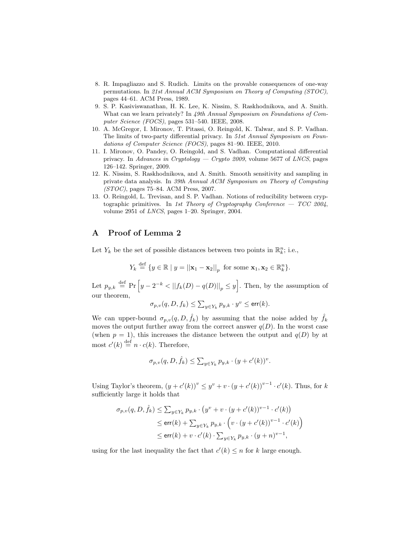- 8. R. Impagliazzo and S. Rudich. Limits on the provable consequences of one-way permutations. In 21st Annual ACM Symposium on Theory of Computing (STOC), pages 44–61. ACM Press, 1989.
- 9. S. P. Kasiviswanathan, H. K. Lee, K. Nissim, S. Raskhodnikova, and A. Smith. What can we learn privately? In 49th Annual Symposium on Foundations of Computer Science (FOCS), pages 531–540. IEEE, 2008.
- 10. A. McGregor, I. Mironov, T. Pitassi, O. Reingold, K. Talwar, and S. P. Vadhan. The limits of two-party differential privacy. In 51st Annual Symposium on Foundations of Computer Science (FOCS), pages 81–90. IEEE, 2010.
- 11. I. Mironov, O. Pandey, O. Reingold, and S. Vadhan. Computational differential privacy. In Advances in Cryptology — Crypto 2009, volume 5677 of LNCS, pages 126–142. Springer, 2009.
- 12. K. Nissim, S. Raskhodnikova, and A. Smith. Smooth sensitivity and sampling in private data analysis. In 39th Annual ACM Symposium on Theory of Computing (STOC), pages 75–84. ACM Press, 2007.
- 13. O. Reingold, L. Trevisan, and S. P. Vadhan. Notions of reducibility between cryptographic primitives. In 1st Theory of Cryptography Conference  $-$  TCC 2004, volume 2951 of LNCS, pages 1–20. Springer, 2004.

# A Proof of Lemma 2

Let  $Y_k$  be the set of possible distances between two points in  $\mathbb{R}_k^n$ ; i.e.,

$$
Y_k \stackrel{\text{def}}{=} \{ y \in \mathbb{R} \mid y = ||\mathbf{x}_1 - \mathbf{x}_2||_p \text{ for some } \mathbf{x}_1, \mathbf{x}_2 \in \mathbb{R}_k^n \}.
$$

Let  $p_{y,k} \stackrel{\text{def}}{=} \Pr\left[y - 2^{-k} < ||f_k(D) - q(D)||_p \leq y\right]$ . Then, by the assumption of our theorem,

$$
\sigma_{p,v}(q,D,f_k) \le \textstyle \sum_{y \in Y_k} p_{y,k} \cdot y^v \le \textsf{err}(k).
$$

We can upper-bound  $\sigma_{p,\nu}(q, D, \hat{f}_k)$  by assuming that the noise added by  $\hat{f}_k$ moves the output further away from the correct answer  $q(D)$ . In the worst case (when  $p = 1$ ), this increases the distance between the output and  $q(D)$  by at most  $c'(k) \stackrel{\text{def}}{=} n \cdot c(k)$ . Therefore,

$$
\sigma_{p,v}(q,D,\hat{f}_k) \le \sum_{y \in Y_k} p_{y,k} \cdot (y + c'(k))^v.
$$

Using Taylor's theorem,  $(y + c'(k))^v \leq y^v + v \cdot (y + c'(k))^{v-1} \cdot c'(k)$ . Thus, for k sufficiently large it holds that

$$
\sigma_{p,v}(q, D, \hat{f}_k) \le \sum_{y \in Y_k} p_{y,k} \cdot (y^v + v \cdot (y + c'(k))^{v-1} \cdot c'(k))
$$
  

$$
\le \text{err}(k) + \sum_{y \in Y_k} p_{y,k} \cdot \left(v \cdot (y + c'(k))^{v-1} \cdot c'(k)\right)
$$
  

$$
\le \text{err}(k) + v \cdot c'(k) \cdot \sum_{y \in Y_k} p_{y,k} \cdot (y + n)^{v-1},
$$

using for the last inequality the fact that  $c'(k) \leq n$  for k large enough.